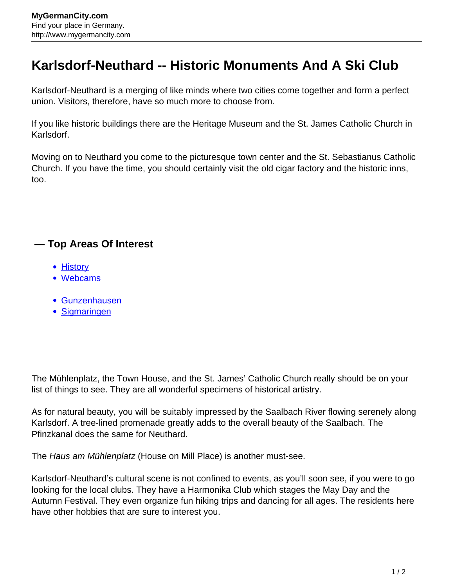## **Karlsdorf-Neuthard -- Historic Monuments And A Ski Club**

Karlsdorf-Neuthard is a merging of like minds where two cities come together and form a perfect union. Visitors, therefore, have so much more to choose from.

If you like historic buildings there are the Heritage Museum and the St. James Catholic Church in Karlsdorf.

Moving on to Neuthard you come to the picturesque town center and the St. Sebastianus Catholic Church. If you have the time, you should certainly visit the old cigar factory and the historic inns, too.

## **— Top Areas Of Interest**

- [History](http://www.mygermancity.com/leipzig-history)
- [Webcams](http://www.mygermancity.com/neustadt-holstein-webcams)
- [Gunzenhausen](http://www.mygermancity.com/gunzenhausen)
- [Sigmaringen](http://www.mygermancity.com/sigmaringen)

The Mühlenplatz, the Town House, and the St. James' Catholic Church really should be on your list of things to see. They are all wonderful specimens of historical artistry.

As for natural beauty, you will be suitably impressed by the Saalbach River flowing serenely along Karlsdorf. A tree-lined promenade greatly adds to the overall beauty of the Saalbach. The Pfinzkanal does the same for Neuthard.

The Haus am Mühlenplatz (House on Mill Place) is another must-see.

Karlsdorf-Neuthard's cultural scene is not confined to events, as you'll soon see, if you were to go looking for the local clubs. They have a Harmonika Club which stages the May Day and the Autumn Festival. They even organize fun hiking trips and dancing for all ages. The residents here have other hobbies that are sure to interest you.